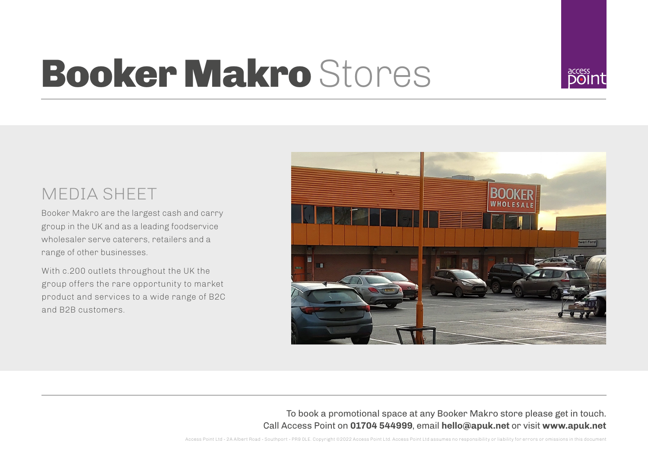## **Booker Makro Stores**

## MEDIA SHEET

Booker Makro are the largest cash and carry group in the UK and as a leading foodservice wholesaler serve caterers, retailers and a range of other businesses.

With c.200 outlets throughout the UK the group offers the rare opportunity to market product and services to a wide range of B2C and B2B customers.



To book a promotional space at any Booker Makro store please get in touch. Call Access Point on **01704 544999**, email **hello@apuk.net** or visit **www.apuk.net**